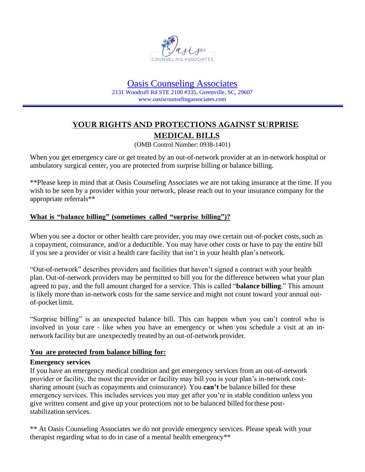

### Oasis Counseling Associates 2131 Woodruff Rd STE 2100 #335, Greenville, SC, 29607 www.oasiscounselingassociates.com

# **YOUR RIGHTS AND PROTECTIONS AGAINST SURPRISE MEDICAL BILLS**

(OMB Control Number: 0938-1401)

When you get emergency care or get treated by an out-of-network provider at an in-network hospital or ambulatory surgical center, you are protected from surprise billing or balance billing.

\*\*Please keep in mind that at Oasis Counseling Associates we are not taking insurance at the time. If you wish to be seen by a provider within your network, please reach out to your insurance company for the appropriate referrals\*\*

## **What is "balance billing" (sometimes called "surprise billing")?**

When you see a doctor or other health care provider, you may owe certain out-of-pocket costs, such as a copayment, coinsurance, and/or a deductible. You may have other costs or have to pay the entire bill if you see a provider or visit a health care facility that isn't in your health plan's network.

"Out-of-network" describes providers and facilities that haven't signed a contract with your health plan. Out-of-network providers may be permitted to bill you for the difference between what your plan agreed to pay, and the full amount charged for a service. This is called "**balance billing**." This amount is likely more than in-network costs for the same service and might not count toward your annual outof-pocket limit.

"Surprise billing" is an unexpected balance bill. This can happen when you can't control who is involved in your care - like when you have an emergency or when you schedule a visit at an innetwork facility but are unexpectedly treated by an out-of-network provider.

### **You are protected from balance billing for:**

### **Emergency services**

If you have an emergency medical condition and get emergency services from an out-of-network provider or facility, the most the provider or facility may bill you is your plan's in-network costsharing amount (such as copayments and coinsurance). You **can't** be balance billed for these emergency services. This includes services you may get after you're in stable condition unless you give written consent and give up your protections not to be balanced billed forthese poststabilization services.

\*\* At Oasis Counseling Associates we do not provide emergency services. Please speak with your therapist regarding what to do in case of a mental health emergency\*\*